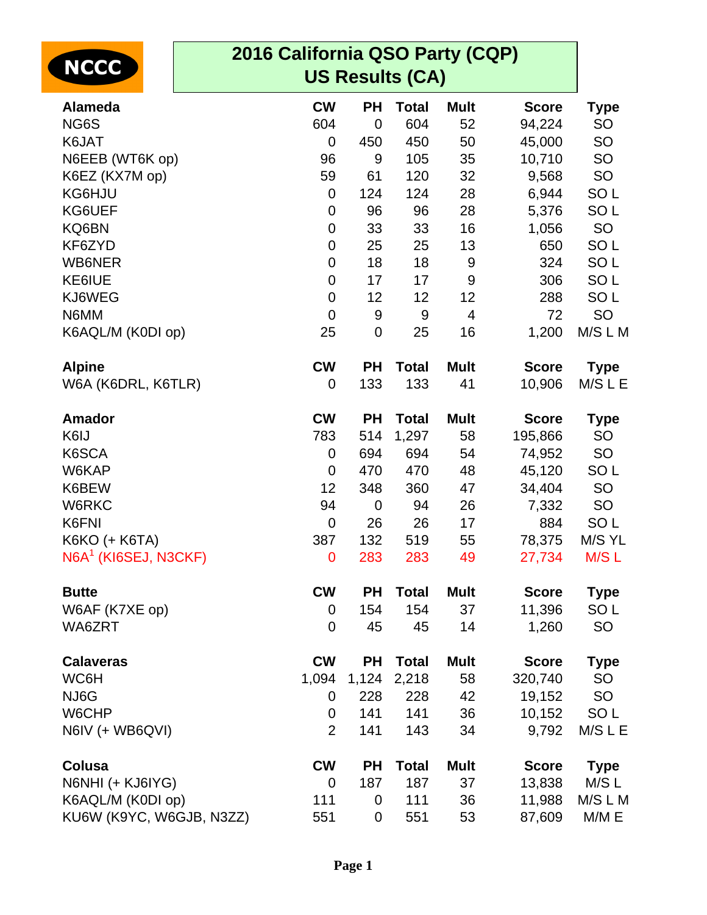| 2016 California QSO Party (CQP)<br><b>NCCC</b><br><b>US Results (CA)</b> |                |             |                  |                         |              |                 |  |
|--------------------------------------------------------------------------|----------------|-------------|------------------|-------------------------|--------------|-----------------|--|
| <b>Alameda</b>                                                           | <b>CW</b>      | <b>PH</b>   | <b>Total</b>     | <b>Mult</b>             | <b>Score</b> | <b>Type</b>     |  |
| NG6S                                                                     | 604            | $\mathbf 0$ | 604              | 52                      | 94,224       | <b>SO</b>       |  |
| K6JAT                                                                    | 0              | 450         | 450              | 50                      | 45,000       | SO              |  |
| N6EEB (WT6K op)                                                          | 96             | 9           | 105              | 35                      | 10,710       | SO              |  |
| K6EZ (KX7M op)                                                           | 59             | 61          | 120              | 32                      | 9,568        | SO              |  |
| KG6HJU                                                                   | 0              | 124         | 124              | 28                      | 6,944        | SO <sub>L</sub> |  |
| KG6UEF                                                                   | $\mathbf 0$    | 96          | 96               | 28                      | 5,376        | SO <sub>L</sub> |  |
| KQ6BN                                                                    | 0              | 33          | 33               | 16                      | 1,056        | <b>SO</b>       |  |
| KF6ZYD                                                                   | $\mathbf 0$    | 25          | 25               | 13                      | 650          | SO <sub>L</sub> |  |
| <b>WB6NER</b>                                                            | 0              | 18          | 18               | 9                       | 324          | SO <sub>L</sub> |  |
| KE6IUE                                                                   | $\mathbf 0$    | 17          | 17               | $9\,$                   | 306          | SO <sub>L</sub> |  |
| KJ6WEG                                                                   | 0              | 12          | 12               | 12                      | 288          | SO <sub>L</sub> |  |
| N6MM                                                                     | $\overline{0}$ | $9\,$       | $\boldsymbol{9}$ | $\overline{\mathbf{4}}$ | 72           | <b>SO</b>       |  |
| K6AQL/M (K0DI op)                                                        | 25             | $\mathbf 0$ | 25               | 16                      | 1,200        | M/S L M         |  |
| <b>Alpine</b>                                                            | <b>CW</b>      | <b>PH</b>   | <b>Total</b>     | <b>Mult</b>             | <b>Score</b> | <b>Type</b>     |  |
| W6A (K6DRL, K6TLR)                                                       | 0              | 133         | 133              | 41                      | 10,906       | M/SLE           |  |
| <b>Amador</b>                                                            | <b>CW</b>      | <b>PH</b>   | <b>Total</b>     | <b>Mult</b>             | <b>Score</b> | <b>Type</b>     |  |
| K6IJ                                                                     | 783            | 514         | 1,297            | 58                      | 195,866      | <b>SO</b>       |  |
| K6SCA                                                                    | 0              | 694         | 694              | 54                      | 74,952       | SO              |  |
| W6KAP                                                                    | $\overline{0}$ | 470         | 470              | 48                      | 45,120       | SO <sub>L</sub> |  |
| K6BEW                                                                    | 12             | 348         | 360              | 47                      | 34,404       | <b>SO</b>       |  |
| W6RKC                                                                    | 94             | $\mathbf 0$ | 94               | 26                      | 7,332        | <b>SO</b>       |  |
| K6FNI                                                                    | $\mathbf 0$    | 26          | 26               | 17                      | 884          | SO <sub>L</sub> |  |
| K6KO (+ K6TA)                                                            | 387            | 132         | 519              | 55                      | 78,375       | M/S YL          |  |
| $N6A1$ (KI6SEJ, N3CKF)                                                   | $\mathbf 0$    | 283         | 283              | 49                      | 27,734       | M/S L           |  |
| <b>Butte</b>                                                             | <b>CW</b>      | <b>PH</b>   | <b>Total</b>     | <b>Mult</b>             | <b>Score</b> | <b>Type</b>     |  |
| W6AF (K7XE op)                                                           | $\mathbf 0$    | 154         | 154              | 37                      | 11,396       | SO <sub>L</sub> |  |
| WA6ZRT                                                                   | 0              | 45          | 45               | 14                      | 1,260        | <b>SO</b>       |  |
| <b>Calaveras</b>                                                         | <b>CW</b>      | <b>PH</b>   | <b>Total</b>     | <b>Mult</b>             | <b>Score</b> | <b>Type</b>     |  |
| WC6H                                                                     | 1,094          | 1,124       | 2,218            | 58                      | 320,740      | <b>SO</b>       |  |
| NJ6G                                                                     | 0              | 228         | 228              | 42                      | 19,152       | <b>SO</b>       |  |
| W6CHP                                                                    | $\mathbf 0$    | 141         | 141              | 36                      | 10,152       | SO <sub>L</sub> |  |
| N6IV (+ WB6QVI)                                                          | $\overline{2}$ | 141         | 143              | 34                      | 9,792        | M/S L E         |  |
| Colusa                                                                   | <b>CW</b>      | <b>PH</b>   | <b>Total</b>     | <b>Mult</b>             | <b>Score</b> | <b>Type</b>     |  |
| N6NHI (+ KJ6IYG)                                                         | $\mathbf 0$    | 187         | 187              | 37                      | 13,838       | M/S L           |  |
| K6AQL/M (K0DI op)                                                        | 111            | 0           | 111              | 36                      | 11,988       | M/S L M         |  |
| KU6W (K9YC, W6GJB, N3ZZ)                                                 | 551            | 0           | 551              | 53                      | 87,609       | M/M E           |  |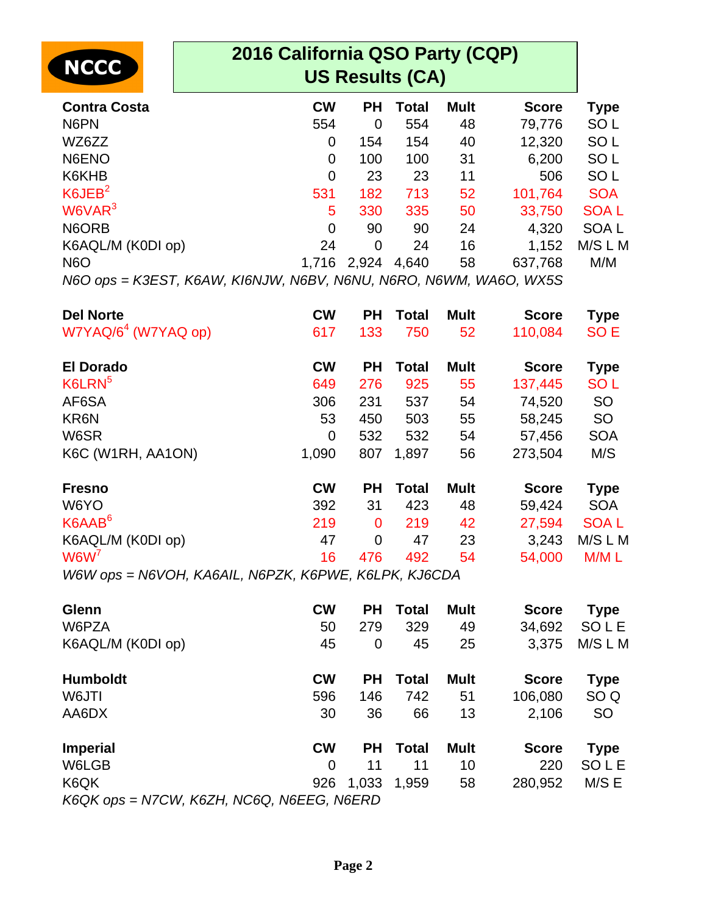| <b>INCCC</b> |  |
|--------------|--|
|              |  |

| <b>Contra Costa</b> | <b>CW</b>      | <b>PH</b> | Total | <b>Mult</b> | <b>Score</b> | Type             |
|---------------------|----------------|-----------|-------|-------------|--------------|------------------|
| N6PN                | 554            | 0         | 554   | 48          | 79,776       | SO <sub>L</sub>  |
| WZ6ZZ               | 0              | 154       | 154   | 40          | 12,320       | SO <sub>L</sub>  |
| N6ENO               | $\overline{0}$ | 100       | 100   | 31          | 6,200        | SO <sub>L</sub>  |
| K6KHB               | $\mathbf 0$    | 23        | 23    | 11          | 506          | SO <sub>L</sub>  |
| K6JEB <sup>2</sup>  | 531            | 182       | 713   | 52          | 101,764      | <b>SOA</b>       |
| W6VAR <sup>3</sup>  | 5              | 330       | 335   | 50          | 33,750       | <b>SOAL</b>      |
| N6ORB               | $\overline{0}$ | 90        | 90    | 24          | 4,320        | SOA <sub>L</sub> |
| K6AQL/M (K0DI op)   | 24             | 0         | 24    | 16          | 1,152        | M/S L M          |
| N <sub>6</sub> O    | 1,716          | 2,924     | 4,640 | 58          | 637,768      | M/M              |
|                     |                |           |       |             |              |                  |

N6O ops = K3EST, K6AW, KI6NJW, N6BV, N6NU, N6RO, N6WM, WA6O, WX5S

| <b>Del Norte</b>                | <b>CW</b>                                   | <b>PH</b> | Total                                                         | <b>Mult</b> | <b>Score</b> | <b>Type</b>     |
|---------------------------------|---------------------------------------------|-----------|---------------------------------------------------------------|-------------|--------------|-----------------|
| W7YAQ/6 <sup>4</sup> (W7YAQ op) | 617                                         | 133       | 750                                                           | 52          | 110,084      | SO <sub>E</sub> |
| <b>El Dorado</b>                | <b>CW</b>                                   | <b>PH</b> | Total                                                         | <b>Mult</b> | <b>Score</b> | <b>Type</b>     |
| K6LRN <sup>5</sup>              | 649                                         | 276       | 925                                                           | 55          | 137,445      | <b>SOL</b>      |
| AF6SA                           | 306                                         | 231       | 537                                                           | 54          | 74,520       | <b>SO</b>       |
| KR6N                            | 53                                          | 450       | 503                                                           | 55          | 58,245       | <b>SO</b>       |
| W6SR                            | 0                                           | 532       | 532                                                           | 54          | 57,456       | <b>SOA</b>      |
| K6C (W1RH, AA1ON)               | 1,090                                       | 807       | 1,897                                                         | 56          | 273,504      | M/S             |
| <b>Fresno</b>                   | <b>CW</b>                                   | <b>PH</b> | Total                                                         | <b>Mult</b> | <b>Score</b> | <b>Type</b>     |
| W6YO                            | 392                                         | 31        | 423                                                           | 48          | 59,424       | <b>SOA</b>      |
| K6AAB <sup>6</sup>              | 219                                         | 0         | 219                                                           | 42          | 27,594       | <b>SOAL</b>     |
| K6AQL/M (K0DI op)               | 47                                          | 0         | 47                                                            | 23          | 3,243        | M/S L M         |
| W6W'                            | 16                                          | 476       | 492                                                           | 54          | 54,000       | M/M L           |
| NINIV<br>14/014/222             | $M$ $\cap$ $\neg$ $M$ $M$ $\cap$ $M$ $\cap$ |           | $\mathcal{U}$ of $\mathcal{U}$ $\mathcal{U}$ is $\mathcal{U}$ |             |              |                 |

W6W ops = N6VOH, KA6AIL, N6PZK, K6PWE, K6LPK, KJ6CDA

| Glenn                                        | <b>CW</b> | <b>PH</b> | Total        | <b>Mult</b> | <b>Score</b> | <b>Type</b>     |
|----------------------------------------------|-----------|-----------|--------------|-------------|--------------|-----------------|
| W6PZA                                        | 50        | 279       | 329          | 49          | 34,692       | <b>SOLE</b>     |
| K6AQL/M (K0DI op)                            | 45        | 0         | 45           | 25          | 3,375        | M/S L M         |
| <b>Humboldt</b>                              | <b>CW</b> | <b>PH</b> | Total        | <b>Mult</b> | <b>Score</b> | Type            |
| W6JTI                                        | 596       | 146       | 742          | 51          | 106,080      | SO <sub>Q</sub> |
| AA6DX                                        | 30        | 36        | 66           | 13          | 2,106        | <b>SO</b>       |
| <b>Imperial</b>                              | <b>CW</b> | <b>PH</b> | <b>Total</b> | <b>Mult</b> | <b>Score</b> | <b>Type</b>     |
| W6LGB                                        | 0         | 11        | 11           | 10          | 220          | SOLE            |
| K6QK                                         | 926       | 1,033     | 1,959        | 58          | 280,952      | M/S E           |
| $K$ 60K ons - N7CM/ $K$ 67H NC6O N6EEG N6ERD |           |           |              |             |              |                 |

K6QK ops = N7CW, K6ZH, NC6Q, N6EEG, N6ERD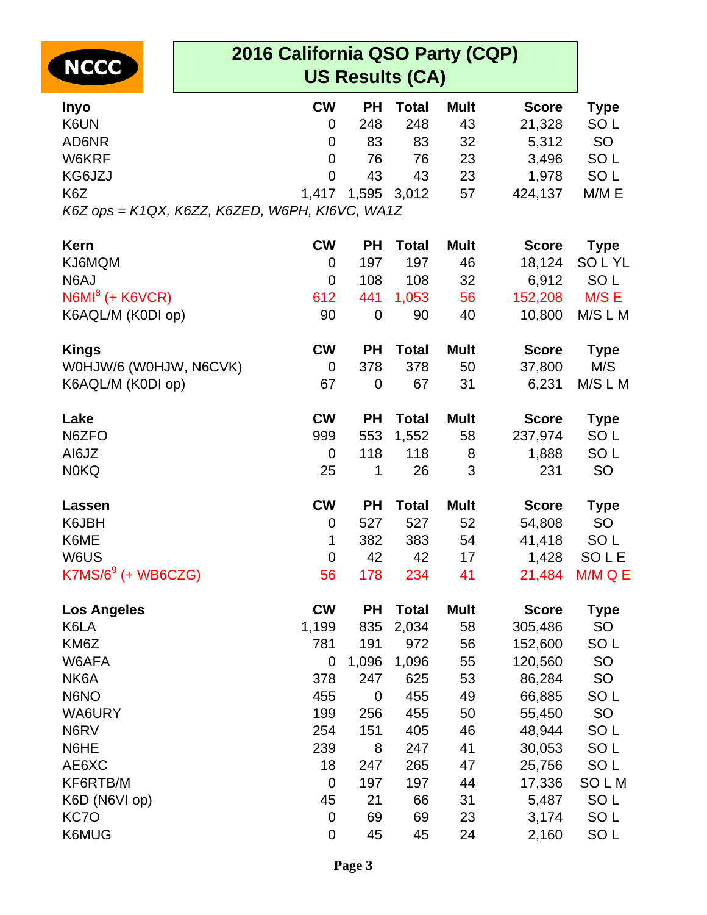| <b>NCCC</b>            | 2016 California QSO Party (CQP)<br><b>US Results (CA)</b> |                  |             |              |             |              |                 |  |  |
|------------------------|-----------------------------------------------------------|------------------|-------------|--------------|-------------|--------------|-----------------|--|--|
| <b>Inyo</b>            |                                                           | <b>CW</b>        | <b>PH</b>   | <b>Total</b> | <b>Mult</b> | <b>Score</b> | <b>Type</b>     |  |  |
| K6UN                   |                                                           | 0                | 248         | 248          | 43          | 21,328       | SO <sub>L</sub> |  |  |
| AD6NR                  |                                                           | $\mathbf 0$      | 83          | 83           | 32          | 5,312        | <b>SO</b>       |  |  |
| W6KRF                  |                                                           | $\mathbf 0$      | 76          | 76           | 23          | 3,496        | SO <sub>L</sub> |  |  |
| KG6JZJ                 |                                                           | $\overline{0}$   | 43          | 43           | 23          | 1,978        | SO <sub>L</sub> |  |  |
| K6Z                    |                                                           | 1,417            | 1,595       | 3,012        | 57          | 424,137      | M/M E           |  |  |
|                        | K6Z ops = K1QX, K6ZZ, K6ZED, W6PH, KI6VC, WA1Z            |                  |             |              |             |              |                 |  |  |
| <b>Kern</b>            |                                                           | <b>CW</b>        | <b>PH</b>   | <b>Total</b> | <b>Mult</b> | <b>Score</b> | <b>Type</b>     |  |  |
| KJ6MQM                 |                                                           | 0                | 197         | 197          | 46          | 18,124       | <b>SOLYL</b>    |  |  |
| N6AJ                   |                                                           | $\mathbf 0$      | 108         | 108          | 32          | 6,912        | SO <sub>L</sub> |  |  |
| $N6MI8$ (+ K6VCR)      |                                                           | 612              | 441         | 1,053        | 56          | 152,208      | M/S E           |  |  |
| K6AQL/M (K0DI op)      |                                                           | 90               | $\mathbf 0$ | 90           | 40          | 10,800       | M/S L M         |  |  |
| <b>Kings</b>           |                                                           | <b>CW</b>        | <b>PH</b>   | <b>Total</b> | <b>Mult</b> | <b>Score</b> | <b>Type</b>     |  |  |
| WOHJW/6 (WOHJW, N6CVK) |                                                           | $\overline{0}$   | 378         | 378          | 50          | 37,800       | M/S             |  |  |
| K6AQL/M (K0DI op)      |                                                           | 67               | $\mathbf 0$ | 67           | 31          | 6,231        | M/S L M         |  |  |
| Lake                   |                                                           | <b>CW</b>        | <b>PH</b>   | <b>Total</b> | <b>Mult</b> | <b>Score</b> | <b>Type</b>     |  |  |
| N6ZFO                  |                                                           | 999              | 553         | 1,552        | 58          | 237,974      | SO <sub>L</sub> |  |  |
| AI6JZ                  |                                                           | $\mathbf 0$      | 118         | 118          | 8           | 1,888        | SO <sub>L</sub> |  |  |
| <b>N0KQ</b>            |                                                           | 25               | 1           | 26           | 3           | 231          | SO              |  |  |
| Lassen                 |                                                           | <b>CW</b>        | <b>PH</b>   | <b>Total</b> | <b>Mult</b> | <b>Score</b> | <b>Type</b>     |  |  |
| K6JBH                  |                                                           | $\boldsymbol{0}$ | 527         | 527          | 52          | 54,808       | <b>SO</b>       |  |  |
| K6ME                   |                                                           | 1                | 382         | 383          | 54          | 41,418       | SO <sub>L</sub> |  |  |
| W6US                   |                                                           | $\Omega$         | 42          | 42           | 17          | 1,428        | SOLE            |  |  |
| $K7MS/69$ (+ WB6CZG)   |                                                           | 56               | 178         | 234          | 41          | 21,484       | M/M Q E         |  |  |
| <b>Los Angeles</b>     |                                                           | <b>CW</b>        | <b>PH</b>   | <b>Total</b> | <b>Mult</b> | <b>Score</b> | <b>Type</b>     |  |  |
| K6LA                   |                                                           | 1,199            | 835         | 2,034        | 58          | 305,486      | SO              |  |  |
| KM6Z                   |                                                           | 781              | 191         | 972          | 56          | 152,600      | SO <sub>L</sub> |  |  |
| W6AFA                  |                                                           | 0                | 1,096       | 1,096        | 55          | 120,560      | <b>SO</b>       |  |  |
| NK6A                   |                                                           | 378              | 247         | 625          | 53          | 86,284       | SO              |  |  |
| N6NO                   |                                                           | 455              | 0           | 455          | 49          | 66,885       | SO <sub>L</sub> |  |  |
| WA6URY                 |                                                           | 199              | 256         | 455          | 50          | 55,450       | SO              |  |  |
| N6RV                   |                                                           | 254              | 151         | 405          | 46          | 48,944       | SO <sub>L</sub> |  |  |
| N6HE                   |                                                           | 239              | 8           | 247          | 41          | 30,053       | SO <sub>L</sub> |  |  |
| AE6XC                  |                                                           | 18               | 247         | 265          | 47          | 25,756       | SO <sub>L</sub> |  |  |
| KF6RTB/M               |                                                           | $\mathbf 0$      | 197         | 197          | 44          | 17,336       | SOLM            |  |  |
| K6D (N6VI op)          |                                                           | 45               | 21          | 66           | 31          | 5,487        | SO <sub>L</sub> |  |  |
| KC7O                   |                                                           | $\mathbf 0$      | 69          | 69           | 23          | 3,174        | SO <sub>L</sub> |  |  |
| K6MUG                  |                                                           | 0                | 45          | 45           | 24          | 2,160        | SO <sub>L</sub> |  |  |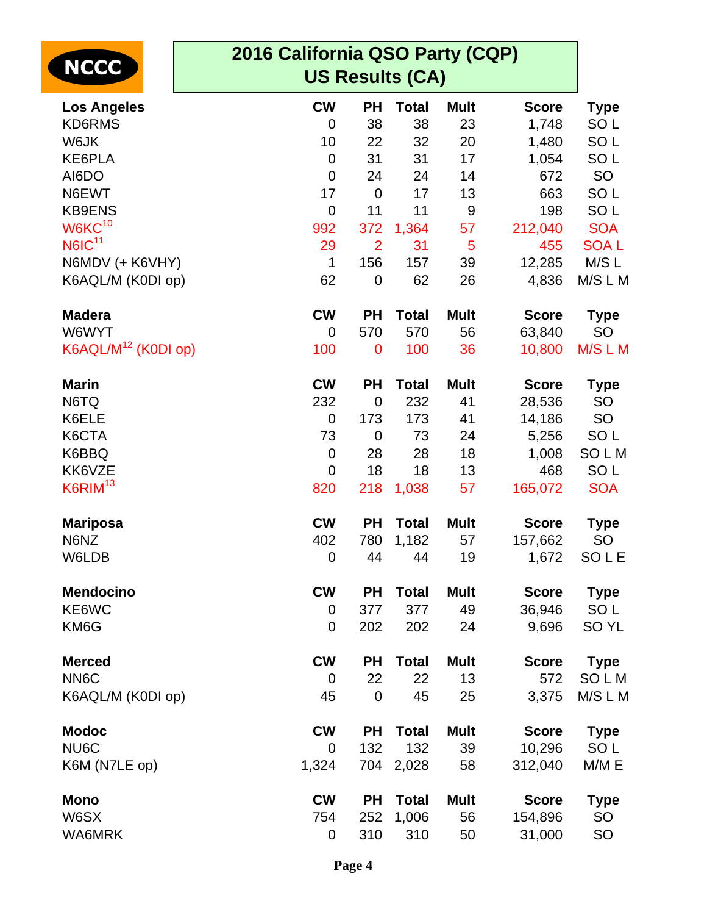| <b>NCCC</b>                     | 2016 California QSO Party (CQP)<br><b>US Results (CA)</b> |                |              |             |              |                  |  |  |  |
|---------------------------------|-----------------------------------------------------------|----------------|--------------|-------------|--------------|------------------|--|--|--|
| <b>Los Angeles</b>              | <b>CW</b>                                                 | <b>PH</b>      | <b>Total</b> | <b>Mult</b> | <b>Score</b> | <b>Type</b>      |  |  |  |
| <b>KD6RMS</b>                   | 0                                                         | 38             | 38           | 23          | 1,748        | SO <sub>L</sub>  |  |  |  |
| W6JK                            | 10                                                        | 22             | 32           | 20          | 1,480        | SO <sub>L</sub>  |  |  |  |
| KE6PLA                          | $\mathbf 0$                                               | 31             | 31           | 17          | 1,054        | SO <sub>L</sub>  |  |  |  |
| AI6DO                           | $\mathbf 0$                                               | 24             | 24           | 14          | 672          | SO               |  |  |  |
| N6EWT                           | 17                                                        | $\mathbf 0$    | 17           | 13          | 663          | SO <sub>L</sub>  |  |  |  |
| <b>KB9ENS</b>                   | $\mathbf 0$                                               | 11             | 11           | $9$         | 198          | SO <sub>L</sub>  |  |  |  |
| W6KC <sup>10</sup>              | 992                                                       | 372            | 1,364        | 57          | 212,040      | <b>SOA</b>       |  |  |  |
| <b>N6IC<sup>11</sup></b>        | 29                                                        | $\overline{2}$ | 31           | 5           | 455          | <b>SOAL</b>      |  |  |  |
| N6MDV (+ K6VHY)                 | $\mathbf 1$                                               | 156            | 157          | 39          | 12,285       | M/S L            |  |  |  |
| K6AQL/M (K0DI op)               | 62                                                        | $\mathbf 0$    | 62           | 26          | 4,836        | M/SLM            |  |  |  |
| <b>Madera</b>                   | <b>CW</b>                                                 | <b>PH</b>      | <b>Total</b> | <b>Mult</b> | <b>Score</b> | <b>Type</b>      |  |  |  |
| W6WYT                           | 0                                                         | 570            | 570          | 56          | 63,840       | <b>SO</b>        |  |  |  |
| K6AQL/M <sup>12</sup> (K0DI op) | 100                                                       | $\mathbf 0$    | 100          | 36          | 10,800       | M/S L M          |  |  |  |
| <b>Marin</b>                    | <b>CW</b>                                                 | <b>PH</b>      | <b>Total</b> | <b>Mult</b> | <b>Score</b> | <b>Type</b>      |  |  |  |
| N6TQ                            | 232                                                       | $\mathbf 0$    | 232          | 41          | 28,536       | <b>SO</b>        |  |  |  |
| K6ELE                           | $\mathbf 0$                                               | 173            | 173          | 41          | 14,186       | <b>SO</b>        |  |  |  |
| K6CTA                           | 73                                                        | $\mathbf 0$    | 73           | 24          | 5,256        | SO <sub>L</sub>  |  |  |  |
| K6BBQ                           | $\boldsymbol{0}$                                          | 28             | 28           | 18          | 1,008        | SOLM             |  |  |  |
| KK6VZE                          | 0                                                         | 18             | 18           | 13          | 468          | SO <sub>L</sub>  |  |  |  |
| K6RIM <sup>13</sup>             | 820                                                       | 218            | 1,038        | 57          | 165,072      | <b>SOA</b>       |  |  |  |
| <b>Mariposa</b>                 | <b>CW</b>                                                 | <b>PH</b>      | <b>Total</b> | <b>Mult</b> | <b>Score</b> | <b>Type</b>      |  |  |  |
| N6NZ                            | 402                                                       | 780            | 1,182        | 57          | 157,662      | SO               |  |  |  |
| W6LDB                           | $\pmb{0}$                                                 | 44             | 44           | 19          | 1,672        | SOLE             |  |  |  |
| <b>Mendocino</b>                | <b>CW</b>                                                 | <b>PH</b>      | <b>Total</b> | <b>Mult</b> | <b>Score</b> | <b>Type</b>      |  |  |  |
| KE6WC                           | 0                                                         | 377            | 377          | 49          | 36,946       | SO <sub>L</sub>  |  |  |  |
| KM6G                            | 0                                                         | 202            | 202          | 24          | 9,696        | SO <sub>YL</sub> |  |  |  |
| <b>Merced</b>                   | <b>CW</b>                                                 | <b>PH</b>      | <b>Total</b> | <b>Mult</b> | <b>Score</b> | <b>Type</b>      |  |  |  |
| NN6C                            | $\overline{0}$                                            | 22             | 22           | 13          | 572          | SOLM             |  |  |  |
| K6AQL/M (K0DI op)               | 45                                                        | $\mathbf 0$    | 45           | 25          | 3,375        | M/SLM            |  |  |  |
| <b>Modoc</b>                    | <b>CW</b>                                                 | <b>PH</b>      | <b>Total</b> | <b>Mult</b> | <b>Score</b> | <b>Type</b>      |  |  |  |
| NU6C                            | 0                                                         | 132            | 132          | 39          | 10,296       | SO <sub>L</sub>  |  |  |  |
| K6M (N7LE op)                   | 1,324                                                     | 704            | 2,028        | 58          | 312,040      | M/M E            |  |  |  |
| <b>Mono</b>                     | <b>CW</b>                                                 | <b>PH</b>      | <b>Total</b> | <b>Mult</b> | <b>Score</b> | <b>Type</b>      |  |  |  |
| W6SX                            | 754                                                       | 252            | 1,006        | 56          | 154,896      | <b>SO</b>        |  |  |  |
| <b>WA6MRK</b>                   | 0                                                         | 310            | 310          | 50          | 31,000       | SO               |  |  |  |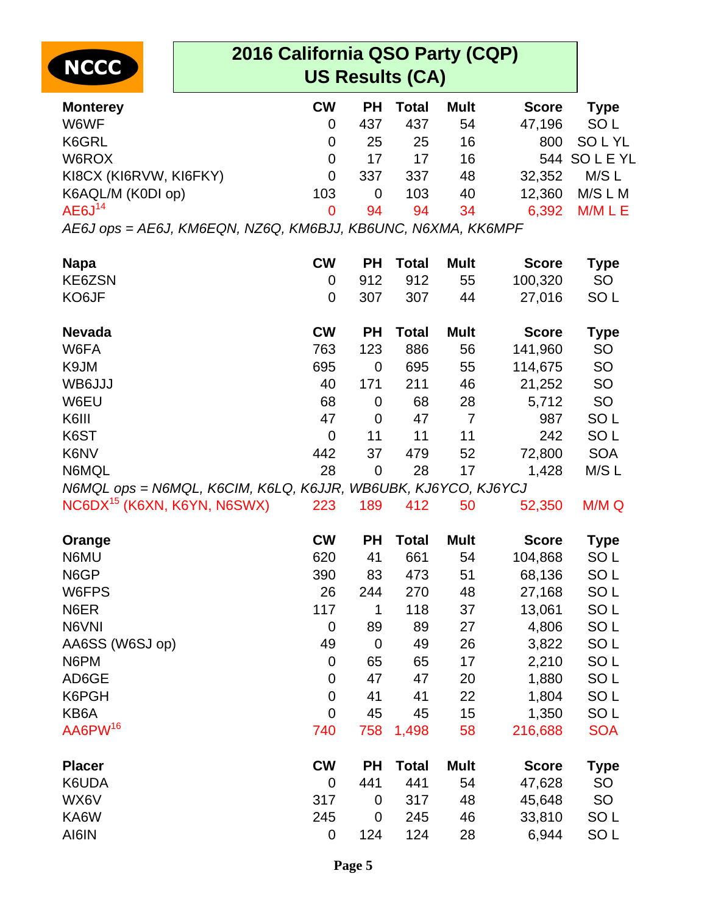|                                         | 2016 California QSO Party (CQP)                               |                |              |                |              |                 |  |  |  |
|-----------------------------------------|---------------------------------------------------------------|----------------|--------------|----------------|--------------|-----------------|--|--|--|
| <b>NCCC</b>                             | <b>US Results (CA)</b>                                        |                |              |                |              |                 |  |  |  |
| <b>Monterey</b>                         | <b>CW</b>                                                     | <b>PH</b>      | <b>Total</b> | <b>Mult</b>    | <b>Score</b> | <b>Type</b>     |  |  |  |
| W6WF                                    | 0                                                             | 437            | 437          | 54             | 47,196       | SO <sub>L</sub> |  |  |  |
| K6GRL                                   | $\mathbf 0$                                                   | 25             | 25           | 16             | 800          | <b>SOLYL</b>    |  |  |  |
| W6ROX                                   | $\mathbf 0$                                                   | 17             | 17           | 16             | 544          | <b>SOLEYL</b>   |  |  |  |
| KI8CX (KI6RVW, KI6FKY)                  | $\overline{0}$                                                | 337            | 337          | 48             | 32,352       | M/S L           |  |  |  |
| K6AQL/M (K0DI op)                       | 103                                                           | $\mathbf 0$    | 103          | 40             | 12,360       | M/S L M         |  |  |  |
| AEGJ <sup>14</sup>                      | 0                                                             | 94             | 94           | 34             | 6,392        | M/M L E         |  |  |  |
|                                         | AE6J ops = AE6J, KM6EQN, NZ6Q, KM6BJJ, KB6UNC, N6XMA, KK6MPF  |                |              |                |              |                 |  |  |  |
| <b>Napa</b>                             | <b>CW</b>                                                     | <b>PH</b>      | <b>Total</b> | <b>Mult</b>    | <b>Score</b> | Type            |  |  |  |
| KE6ZSN                                  | 0                                                             | 912            | 912          | 55             | 100,320      | <b>SO</b>       |  |  |  |
| KO6JF                                   | $\overline{0}$                                                | 307            | 307          | 44             | 27,016       | SO <sub>L</sub> |  |  |  |
| <b>Nevada</b>                           | <b>CW</b>                                                     | <b>PH</b>      | <b>Total</b> | <b>Mult</b>    | <b>Score</b> | <b>Type</b>     |  |  |  |
| W6FA                                    | 763                                                           | 123            | 886          | 56             | 141,960      | <b>SO</b>       |  |  |  |
| K9JM                                    | 695                                                           | $\mathbf 0$    | 695          | 55             | 114,675      | <b>SO</b>       |  |  |  |
| WB6JJJ                                  | 40                                                            | 171            | 211          | 46             | 21,252       | <b>SO</b>       |  |  |  |
| W6EU                                    | 68                                                            | 0              | 68           | 28             | 5,712        | SO              |  |  |  |
| K6III                                   | 47                                                            | $\mathbf 0$    | 47           | $\overline{7}$ | 987          | SO <sub>L</sub> |  |  |  |
| K6ST                                    | $\mathbf 0$                                                   | 11             | 11           | 11             | 242          | SO <sub>L</sub> |  |  |  |
| K6NV                                    | 442                                                           | 37             | 479          | 52             | 72,800       | <b>SOA</b>      |  |  |  |
| N6MQL                                   | 28                                                            | $\overline{0}$ | 28           | 17             | 1,428        | M/SL            |  |  |  |
|                                         | N6MQL ops = N6MQL, K6CIM, K6LQ, K6JJR, WB6UBK, KJ6YCO, KJ6YCJ |                |              |                |              |                 |  |  |  |
| NC6DX <sup>15</sup> (K6XN, K6YN, N6SWX) | 223                                                           | 189            | 412          | 50             | 52,350       | M/M Q           |  |  |  |
| Orange                                  | <b>CW</b>                                                     | <b>PH</b>      | <b>Total</b> | <b>Mult</b>    | <b>Score</b> | <b>Type</b>     |  |  |  |
| N6MU                                    | 620                                                           | 41             | 661          | 54             | 104,868      | SO <sub>L</sub> |  |  |  |
| N6GP                                    | 390                                                           | 83             | 473          | 51             | 68,136       | SO <sub>L</sub> |  |  |  |
| W6FPS                                   | 26                                                            | 244            | 270          | 48             | 27,168       | SO <sub>L</sub> |  |  |  |
| N6ER                                    | 117                                                           | 1              | 118          | 37             | 13,061       | SO <sub>L</sub> |  |  |  |
| N6VNI                                   | $\mathbf 0$                                                   | 89             | 89           | 27             | 4,806        | SO <sub>L</sub> |  |  |  |
| AA6SS (W6SJ op)                         | 49                                                            | 0              | 49           | 26             | 3,822        | SO <sub>L</sub> |  |  |  |
| N6PM                                    | 0                                                             | 65             | 65           | 17             | 2,210        | SO <sub>L</sub> |  |  |  |
| AD6GE                                   | 0                                                             | 47             | 47           | 20             | 1,880        | SO <sub>L</sub> |  |  |  |
| K6PGH                                   | 0                                                             | 41             | 41           | 22             | 1,804        | SO <sub>L</sub> |  |  |  |
| KB6A                                    | $\overline{0}$                                                | 45             | 45           | 15             | 1,350        | SO <sub>L</sub> |  |  |  |
| AA6PW <sup>16</sup>                     | 740                                                           | 758            | 1,498        | 58             | 216,688      | <b>SOA</b>      |  |  |  |
| <b>Placer</b>                           | <b>CW</b>                                                     | <b>PH</b>      | <b>Total</b> | <b>Mult</b>    | <b>Score</b> | <b>Type</b>     |  |  |  |
| K6UDA                                   | $\mathbf 0$                                                   | 441            | 441          | 54             | 47,628       | <b>SO</b>       |  |  |  |
| WX6V                                    | 317                                                           | 0              | 317          | 48             | 45,648       | SO              |  |  |  |
| KA6W                                    | 245                                                           | 0              | 245          | 46             | 33,810       | SO <sub>L</sub> |  |  |  |
| AI6IN                                   | $\boldsymbol{0}$                                              | 124            | 124          | 28             | 6,944        | SO <sub>L</sub> |  |  |  |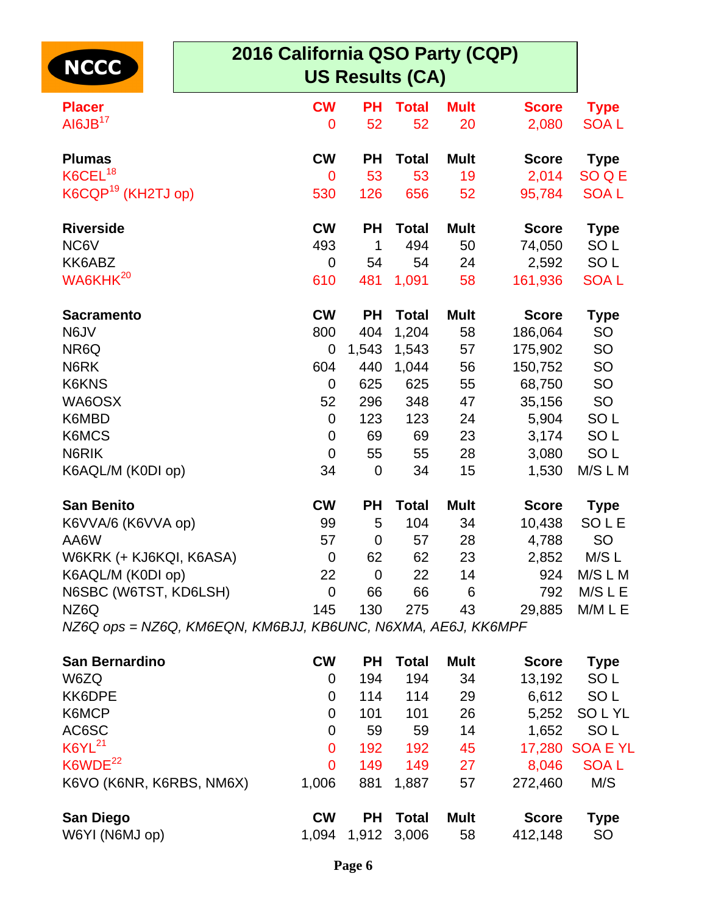| <b>NCCC</b>                                                  | 2016 California QSO Party (CQP) |             | <b>US Results (CA)</b> |             |              |                 |
|--------------------------------------------------------------|---------------------------------|-------------|------------------------|-------------|--------------|-----------------|
| <b>Placer</b>                                                | <b>CW</b>                       | <b>PH</b>   | <b>Total</b>           | <b>Mult</b> | <b>Score</b> | <b>Type</b>     |
| AI6JB <sup>17</sup>                                          | $\mathbf 0$                     | 52          | 52                     | 20          | 2,080        | <b>SOAL</b>     |
| <b>Plumas</b>                                                | <b>CW</b>                       | <b>PH</b>   | <b>Total</b>           | <b>Mult</b> | <b>Score</b> | <b>Type</b>     |
| K6CEL <sup>18</sup>                                          | $\mathbf 0$                     | 53          | 53                     | 19          | 2,014        | SO Q E          |
| K6CQP <sup>19</sup> (KH2TJ op)                               | 530                             | 126         | 656                    | 52          | 95,784       | <b>SOAL</b>     |
| <b>Riverside</b>                                             | <b>CW</b>                       | <b>PH</b>   | <b>Total</b>           | <b>Mult</b> | <b>Score</b> | <b>Type</b>     |
| NC6V                                                         | 493                             | 1           | 494                    | 50          | 74,050       | SO <sub>L</sub> |
| KK6ABZ                                                       | $\overline{0}$                  | 54          | 54                     | 24          | 2,592        | SO <sub>L</sub> |
| WA6KHK <sup>20</sup>                                         | 610                             | 481         | 1,091                  | 58          | 161,936      | <b>SOAL</b>     |
| <b>Sacramento</b>                                            | <b>CW</b>                       | <b>PH</b>   | <b>Total</b>           | <b>Mult</b> | <b>Score</b> | <b>Type</b>     |
| N6JV                                                         | 800                             | 404         | 1,204                  | 58          | 186,064      | <b>SO</b>       |
| NR6Q                                                         | 0                               | 1,543       | 1,543                  | 57          | 175,902      | SO              |
| N6RK                                                         | 604                             | 440         | 1,044                  | 56          | 150,752      | <b>SO</b>       |
| K6KNS                                                        | $\overline{0}$                  | 625         | 625                    | 55          | 68,750       | SO              |
| WA6OSX                                                       | 52                              | 296         | 348                    | 47          | 35,156       | <b>SO</b>       |
| K6MBD                                                        | $\overline{0}$                  | 123         | 123                    | 24          | 5,904        | SO <sub>L</sub> |
| K6MCS                                                        | 0                               | 69          | 69                     | 23          | 3,174        | SO <sub>L</sub> |
| N6RIK                                                        | $\mathbf 0$                     | 55          | 55                     | 28          | 3,080        | SO <sub>L</sub> |
| K6AQL/M (K0DI op)                                            | 34                              | $\mathbf 0$ | 34                     | 15          | 1,530        | M/S L M         |
| <b>San Benito</b>                                            | <b>CW</b>                       | <b>PH</b>   | <b>Total</b>           | <b>Mult</b> | <b>Score</b> | <b>Type</b>     |
| K6VVA/6 (K6VVA op)                                           | 99                              | 5           | 104                    | 34          | 10,438       | SOLE            |
| AA6W                                                         | 57                              | 0           | 57                     | 28          | 4,788        | <b>SO</b>       |
| W6KRK (+ KJ6KQI, K6ASA)                                      | $\overline{0}$                  | 62          | 62                     | 23          | 2,852        | M/S L           |
| K6AQL/M (K0DI op)                                            | 22                              | $\mathbf 0$ | 22                     | 14          | 924          | M/S L M         |
| N6SBC (W6TST, KD6LSH)                                        | $\mathbf 0$                     | 66          | 66                     | 6           | 792          | M/S L E         |
| NZ6Q                                                         | 145                             | 130         | 275                    | 43          | 29,885       | M/M L E         |
| NZ6Q ops = NZ6Q, KM6EQN, KM6BJJ, KB6UNC, N6XMA, AE6J, KK6MPF |                                 |             |                        |             |              |                 |
| <b>San Bernardino</b>                                        | <b>CW</b>                       | <b>PH</b>   | <b>Total</b>           | <b>Mult</b> | <b>Score</b> | <b>Type</b>     |
| W6ZQ                                                         | 0                               | 194         | 194                    | 34          | 13,192       | SO <sub>L</sub> |
| KK6DPE                                                       | 0                               | 114         | 114                    | 29          | 6,612        | SO <sub>L</sub> |
| K6MCP                                                        | 0                               | 101         | 101                    | 26          | 5,252        | <b>SOLYL</b>    |

| AC6SC                    |           | 59  | 59              | 14          | 1.652        | SO L            |
|--------------------------|-----------|-----|-----------------|-------------|--------------|-----------------|
| $K6YL^{21}$              | 0         | 192 | 192             | 45          |              | 17,280 SOA E YL |
| K6WDE <sup>22</sup>      | 0         | 149 | 149             | 27          | 8.046        | <b>SOAL</b>     |
| K6VO (K6NR, K6RBS, NM6X) | 1.006     |     | 881 1.887       | 57          | 272,460      | M/S             |
| <b>San Diego</b>         | <b>CW</b> |     | <b>PH</b> Total | <b>Mult</b> | <b>Score</b> | Type            |
| W6YI (N6MJ op)           | 1,094     |     | 1,912 3,006     | 58          | 412,148      | <b>SO</b>       |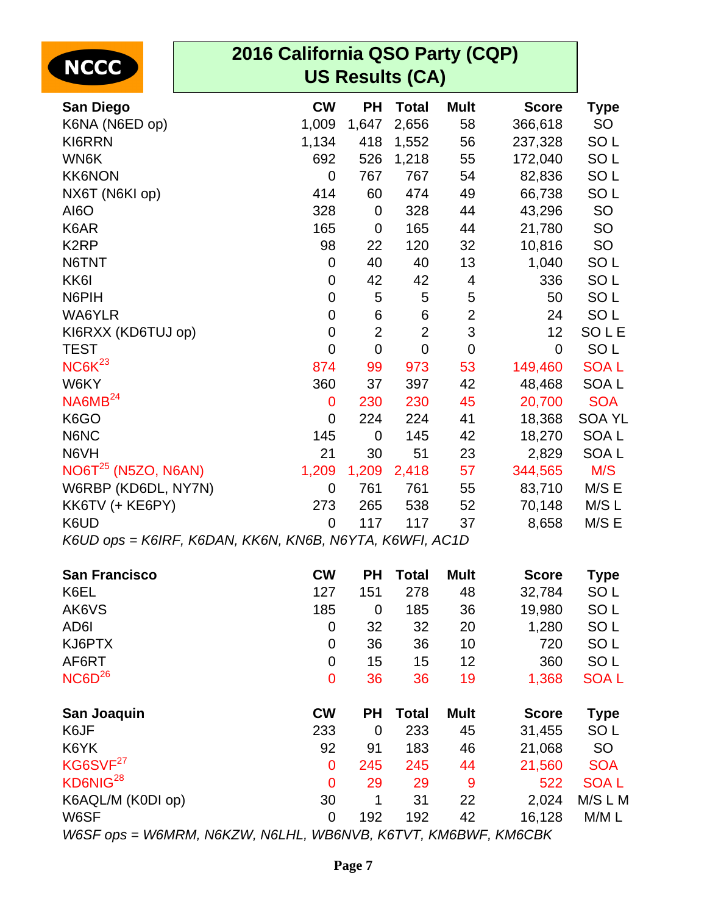| <b>NCCC</b>           | 2016 California QSO Party (CQP)                         |                        |                |                |              |                  |
|-----------------------|---------------------------------------------------------|------------------------|----------------|----------------|--------------|------------------|
|                       |                                                         | <b>US Results (CA)</b> |                |                |              |                  |
| San Diego             | <b>CW</b>                                               | <b>PH</b>              | <b>Total</b>   | <b>Mult</b>    | <b>Score</b> | <b>Type</b>      |
| K6NA (N6ED op)        | 1,009                                                   | 1,647                  | 2,656          | 58             | 366,618      | SO               |
| KI6RRN                | 1,134                                                   | 418                    | 1,552          | 56             | 237,328      | SO <sub>L</sub>  |
| WN6K                  | 692                                                     | 526                    | 1,218          | 55             | 172,040      | SO <sub>L</sub>  |
| <b>KK6NON</b>         | 0                                                       | 767                    | 767            | 54             | 82,836       | SO <sub>L</sub>  |
| NX6T (N6KI op)        | 414                                                     | 60                     | 474            | 49             | 66,738       | SO <sub>L</sub>  |
| AI6O                  | 328                                                     | $\mathbf 0$            | 328            | 44             | 43,296       | <b>SO</b>        |
| K6AR                  | 165                                                     | $\mathbf 0$            | 165            | 44             | 21,780       | SO               |
| K <sub>2</sub> RP     | 98                                                      | 22                     | 120            | 32             | 10,816       | <b>SO</b>        |
| N6TNT                 | 0                                                       | 40                     | 40             | 13             | 1,040        | SO <sub>L</sub>  |
| KK <sub>6</sub>       | 0                                                       | 42                     | 42             | 4              | 336          | SO <sub>L</sub>  |
| N6PIH                 | 0                                                       | 5                      | 5              | 5              | 50           | SO <sub>L</sub>  |
| WA6YLR                | 0                                                       | $\,6$                  | $\,6$          | $\overline{2}$ | 24           | SO <sub>L</sub>  |
| KI6RXX (KD6TUJ op)    | 0                                                       | $\overline{2}$         | $\overline{2}$ | 3              | 12           | SOLE             |
| <b>TEST</b>           | $\overline{0}$                                          | $\overline{0}$         | $\mathbf 0$    | $\overline{0}$ | $\mathbf 0$  | SO <sub>L</sub>  |
| NCGK <sup>23</sup>    | 874                                                     | 99                     | 973            | 53             | 149,460      | <b>SOAL</b>      |
| W6KY                  | 360                                                     | 37                     | 397            | 42             | 48,468       | SOA <sub>L</sub> |
| NA6MB <sup>24</sup>   | 0                                                       | 230                    | 230            | 45             | 20,700       | <b>SOA</b>       |
| K6GO                  | 0                                                       | 224                    | 224            | 41             | 18,368       | <b>SOA YL</b>    |
| N6NC                  | 145                                                     | $\mathbf 0$            | 145            | 42             | 18,270       | SOA <sub>L</sub> |
| N6VH                  | 21                                                      | 30                     | 51             | 23             | 2,829        | SOA <sub>L</sub> |
| $NO6T25$ (N5ZO, N6AN) | 1,209                                                   | 1,209                  | 2,418          | 57             | 344,565      | M/S              |
| W6RBP (KD6DL, NY7N)   | 0                                                       | 761                    | 761            | 55             | 83,710       | M/S E            |
| KK6TV (+ KE6PY)       | 273                                                     | 265                    | 538            | 52             | 70,148       | M/SL             |
| K6UD                  | $\overline{0}$                                          | 117                    | 117            | 37             | 8,658        | M/S E            |
|                       | K6UD ops = K6IRF, K6DAN, KK6N, KN6B, N6YTA, K6WFI, AC1D |                        |                |                |              |                  |
| <b>San Francisco</b>  | <b>CW</b>                                               | <b>PH</b>              | <b>Total</b>   | <b>Mult</b>    | <b>Score</b> | <b>Type</b>      |
| K6EL                  | 127                                                     | 151                    | 278            | 48             | 32,784       | SO <sub>L</sub>  |
| AK6VS                 | 185                                                     | $\mathbf 0$            | 185            | 36             | 19,980       | SO <sub>L</sub>  |
| AD6I                  | 0                                                       | 32                     | 32             | 20             | 1,280        | SO <sub>L</sub>  |
| KJ6PTX                | 0                                                       | 36                     | 36             | 10             | 720          | SO <sub>L</sub>  |
| AF6RT                 | 0                                                       | 15                     | 15             | 12             | 360          | SO <sub>L</sub>  |
| NCGD <sup>26</sup>    | $\mathbf 0$                                             | 36                     | 36             | 19             | 1,368        | <b>SOAL</b>      |
| San Joaquin           | <b>CW</b>                                               | <b>PH</b>              | <b>Total</b>   | <b>Mult</b>    | <b>Score</b> | <b>Type</b>      |
| K6JF                  | 233                                                     | $\mathbf 0$            | 233            | 45             | 31,455       | SO <sub>L</sub>  |
| K6YK                  | 92                                                      | 91                     | 183            | 46             | 21,068       | <b>SO</b>        |
| KG6SVF <sup>27</sup>  | 0                                                       | 245                    | 245            | 44             | 21,560       | <b>SOA</b>       |
| KD6NIG <sup>28</sup>  | $\mathbf 0$                                             | 29                     | 29             | $\overline{9}$ | 522          | <b>SOAL</b>      |
| K6AQL/M (K0DI op)     | 30                                                      | 1                      | 31             | 22             | 2,024        | M/S L M          |
| W6SF                  | $\pmb{0}$                                               | 192                    | 192            | 42             | 16,128       | M/M L            |

W6SF ops = W6MRM, N6KZW, N6LHL, WB6NVB, K6TVT, KM6BWF, KM6CBK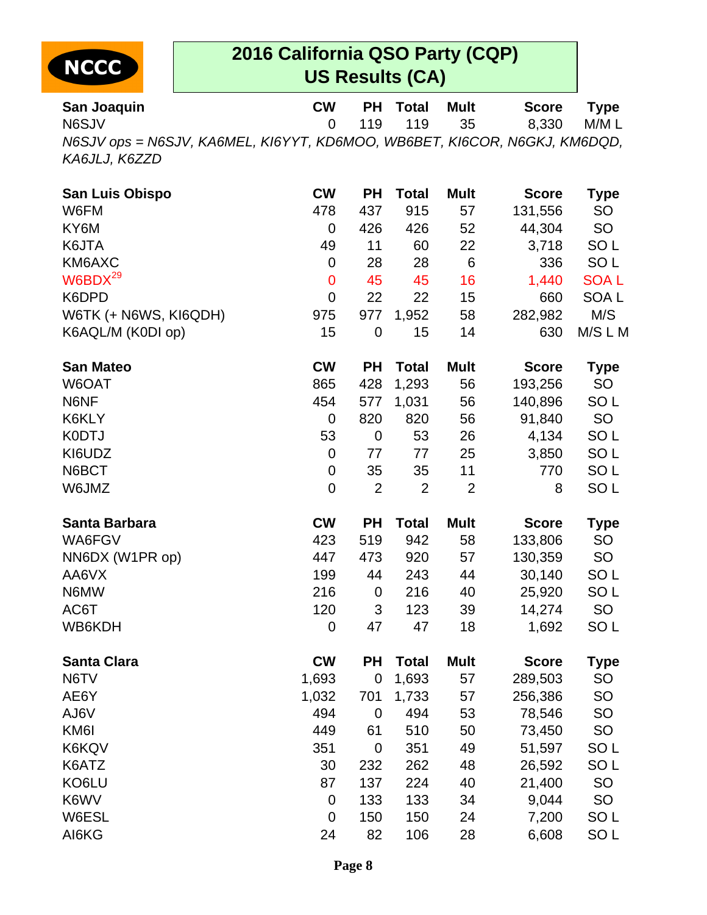

| San Joaquin                                                                                | <b>CW</b> | <b>PH</b> Total | Mult         | <b>Score</b> | Type  |
|--------------------------------------------------------------------------------------------|-----------|-----------------|--------------|--------------|-------|
| N6SJV                                                                                      |           |                 | 0 119 119 35 | 8.330        | M/M L |
| N6SJV ops = N6SJV, KA6MEL, KI6YYT, KD6MOO, WB6BET, KI6COR, N6GKJ, KM6DQD,<br>KA6JLJ, K6ZZD |           |                 |              |              |       |

| San Luis Obispo       | <b>CW</b>      | <b>PH</b>      | <b>Total</b>   | <b>Mult</b>     | <b>Score</b> | Type             |
|-----------------------|----------------|----------------|----------------|-----------------|--------------|------------------|
| W6FM                  | 478            | 437            | 915            | 57              | 131,556      | SO               |
| KY6M                  | 0              | 426            | 426            | 52              | 44,304       | SO               |
| K6JTA                 | 49             | 11             | 60             | 22              | 3,718        | SO <sub>L</sub>  |
| KM6AXC                | $\mathbf 0$    | 28             | 28             | $6\phantom{1}6$ | 336          | SO <sub>L</sub>  |
| W6BDX <sup>29</sup>   | $\mathbf 0$    | 45             | 45             | 16              | 1,440        | <b>SOAL</b>      |
| K6DPD                 | $\overline{0}$ | 22             | 22             | 15              | 660          | SOA <sub>L</sub> |
| W6TK (+ N6WS, KI6QDH) | 975            | 977            | 1,952          | 58              | 282,982      | M/S              |
| K6AQL/M (K0DI op)     | 15             | $\mathbf 0$    | 15             | 14              | 630          | M/S L M          |
| <b>San Mateo</b>      | <b>CW</b>      | <b>PH</b>      | <b>Total</b>   | <b>Mult</b>     | <b>Score</b> | <b>Type</b>      |
| W6OAT                 | 865            | 428            | 1,293          | 56              | 193,256      | SO               |
| N6NF                  | 454            | 577            | 1,031          | 56              | 140,896      | SO <sub>L</sub>  |
| K6KLY                 | $\mathbf 0$    | 820            | 820            | 56              | 91,840       | SO               |
| <b>K0DTJ</b>          | 53             | 0              | 53             | 26              | 4,134        | SO <sub>L</sub>  |
| KI6UDZ                | $\mathbf 0$    | 77             | 77             | 25              | 3,850        | SO <sub>L</sub>  |
| N6BCT                 | 0              | 35             | 35             | 11              | 770          | SO <sub>L</sub>  |
| W6JMZ                 | $\mathbf 0$    | $\overline{2}$ | $\overline{2}$ | $\overline{2}$  | 8            | SO <sub>L</sub>  |
| Santa Barbara         | <b>CW</b>      | <b>PH</b>      | <b>Total</b>   | <b>Mult</b>     | <b>Score</b> | <b>Type</b>      |
| WA6FGV                | 423            | 519            | 942            | 58              | 133,806      | <b>SO</b>        |
| NN6DX (W1PR op)       | 447            | 473            | 920            | 57              | 130,359      | <b>SO</b>        |
| AA6VX                 | 199            | 44             | 243            | 44              | 30,140       | SO <sub>L</sub>  |
| N6MW                  | 216            | $\mathbf 0$    | 216            | 40              | 25,920       | SO <sub>L</sub>  |
| AC6T                  | 120            | 3              | 123            | 39              | 14,274       | SO               |
| WB6KDH                | $\mathbf 0$    | 47             | 47             | 18              | 1,692        | SO <sub>L</sub>  |
| <b>Santa Clara</b>    | <b>CW</b>      | <b>PH</b>      | <b>Total</b>   | <b>Mult</b>     | <b>Score</b> | <b>Type</b>      |
| N6TV                  | 1,693          | $\mathbf 0$    | 1,693          | 57              | 289,503      | SO               |
| AE6Y                  | 1,032          | 701            | 1,733          | 57              | 256,386      | SO               |
| AJ6V                  | 494            | 0              | 494            | 53              | 78,546       | <b>SO</b>        |
| KM6I                  | 449            | 61             | 510            | 50              | 73,450       | SO               |
| K6KQV                 | 351            | $\mathbf 0$    | 351            | 49              | 51,597       | SO <sub>L</sub>  |
| K6ATZ                 | 30             | 232            | 262            | 48              | 26,592       | SO <sub>L</sub>  |
| KO6LU                 | 87             | 137            | 224            | 40              | 21,400       | <b>SO</b>        |
| K6WV                  | $\mathbf 0$    | 133            | 133            | 34              | 9,044        | SO               |
| W6ESL                 | $\mathbf 0$    | 150            | 150            | 24              | 7,200        | SO <sub>L</sub>  |
| AI6KG                 | 24             | 82             | 106            | 28              | 6,608        | SO <sub>L</sub>  |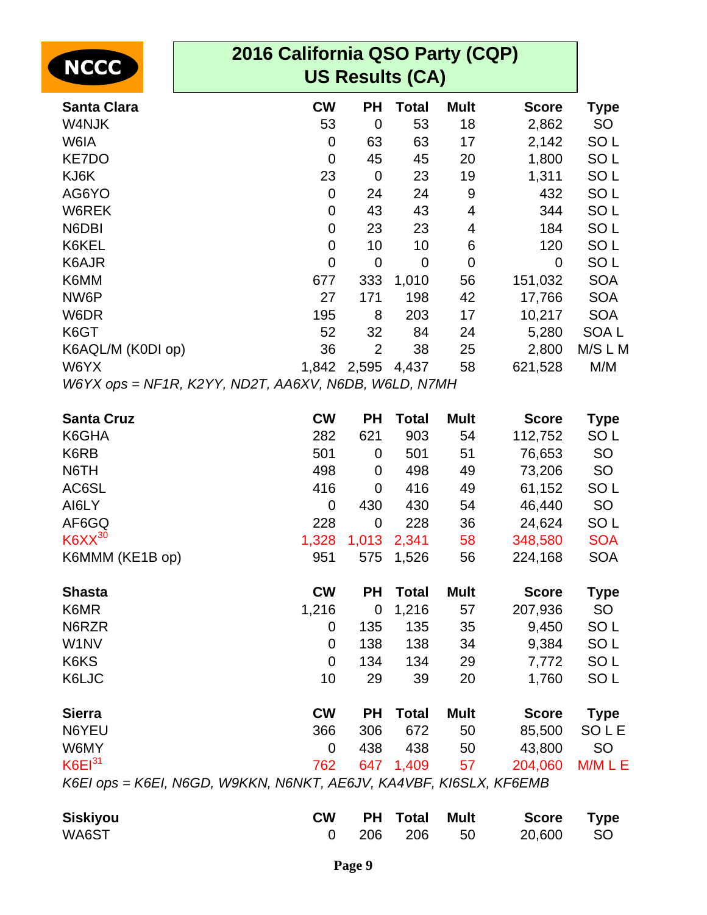| 2016 California QSO Party (CQP)                                    |                                                      |                |              |             |              |                  |  |
|--------------------------------------------------------------------|------------------------------------------------------|----------------|--------------|-------------|--------------|------------------|--|
| <b>NCCC</b>                                                        | <b>US Results (CA)</b>                               |                |              |             |              |                  |  |
| <b>Santa Clara</b>                                                 | <b>CW</b>                                            | <b>PH</b>      | <b>Total</b> | <b>Mult</b> | <b>Score</b> | <b>Type</b>      |  |
| W4NJK                                                              | 53                                                   | $\mathbf 0$    | 53           | 18          | 2,862        | <b>SO</b>        |  |
| W6IA                                                               | 0                                                    | 63             | 63           | 17          | 2,142        | SO <sub>L</sub>  |  |
| KE7DO                                                              | 0                                                    | 45             | 45           | 20          | 1,800        | SO <sub>L</sub>  |  |
| KJ6K                                                               | 23                                                   | $\mathbf 0$    | 23           | 19          | 1,311        | SO <sub>L</sub>  |  |
| AG6YO                                                              | 0                                                    | 24             | 24           | 9           | 432          | SO <sub>L</sub>  |  |
| W6REK                                                              | $\mathbf 0$                                          | 43             | 43           | 4           | 344          | SO <sub>L</sub>  |  |
| N6DBI                                                              | 0                                                    | 23             | 23           | 4           | 184          | SO <sub>L</sub>  |  |
| K6KEL                                                              | $\mathbf 0$                                          | 10             | 10           | 6           | 120          | SO <sub>L</sub>  |  |
| K6AJR                                                              | $\mathbf 0$                                          | $\mathbf 0$    | $\mathbf 0$  | $\mathbf 0$ | $\mathbf 0$  | SO <sub>L</sub>  |  |
| K6MM                                                               | 677                                                  | 333            | 1,010        | 56          | 151,032      | <b>SOA</b>       |  |
| NW6P                                                               | 27                                                   | 171            | 198          | 42          | 17,766       | <b>SOA</b>       |  |
| W6DR                                                               | 195                                                  | 8              | 203          | 17          | 10,217       | <b>SOA</b>       |  |
| K6GT                                                               | 52                                                   | 32             | 84           | 24          | 5,280        | SOA <sub>L</sub> |  |
| K6AQL/M (K0DI op)                                                  | 36                                                   | $\overline{2}$ | 38           | 25          | 2,800        | M/S L M          |  |
| W6YX                                                               |                                                      | 1,842 2,595    | 4,437        | 58          | 621,528      | M/M              |  |
|                                                                    | W6YX ops = NF1R, K2YY, ND2T, AA6XV, N6DB, W6LD, N7MH |                |              |             |              |                  |  |
| <b>Santa Cruz</b>                                                  | <b>CW</b>                                            | <b>PH</b>      | <b>Total</b> | <b>Mult</b> | <b>Score</b> | <b>Type</b>      |  |
| K6GHA                                                              | 282                                                  | 621            | 903          | 54          | 112,752      | SO <sub>L</sub>  |  |
| K6RB                                                               | 501                                                  | 0              | 501          | 51          | 76,653       | SO               |  |
| N6TH                                                               | 498                                                  | 0              | 498          | 49          | 73,206       | SO               |  |
| AC6SL                                                              | 416                                                  | 0              | 416          | 49          | 61,152       | SO <sub>L</sub>  |  |
| AI6LY                                                              | 0                                                    | 430            | 430          | 54          | 46,440       | SO               |  |
| AF6GQ                                                              | 228                                                  | $\mathbf 0$    | 228          | 36          | 24,624       | SO <sub>L</sub>  |  |
| $K6XX^{30}$                                                        | 1,328                                                | 1,013          | 2,341        | 58          | 348,580      | <b>SOA</b>       |  |
| K6MMM (KE1B op)                                                    | 951                                                  | 575            | 1,526        | 56          | 224,168      | <b>SOA</b>       |  |
| <b>Shasta</b>                                                      | <b>CW</b>                                            | <b>PH</b>      | <b>Total</b> | <b>Mult</b> | <b>Score</b> | <b>Type</b>      |  |
| K6MR                                                               | 1,216                                                | $\mathbf 0$    | 1,216        | 57          | 207,936      | <b>SO</b>        |  |
| N6RZR                                                              | 0                                                    | 135            | 135          | 35          | 9,450        | SO <sub>L</sub>  |  |
| W1NV                                                               | 0                                                    | 138            | 138          | 34          | 9,384        | SO <sub>L</sub>  |  |
| K6KS                                                               | 0                                                    | 134            | 134          | 29          | 7,772        | SO <sub>L</sub>  |  |
| K6LJC                                                              | 10                                                   | 29             | 39           | 20          | 1,760        | SO <sub>L</sub>  |  |
| <b>Sierra</b>                                                      | <b>CW</b>                                            | <b>PH</b>      | <b>Total</b> | <b>Mult</b> | <b>Score</b> | <b>Type</b>      |  |
| N6YEU                                                              | 366                                                  | 306            | 672          | 50          | 85,500       | SOLE             |  |
| W6MY                                                               | 0                                                    | 438            | 438          | 50          | 43,800       | <b>SO</b>        |  |
| $K6E1^{31}$                                                        | 762                                                  | 647            | 1,409        | 57          | 204,060      | M/M L E          |  |
| K6EI ops = K6EI, N6GD, W9KKN, N6NKT, AE6JV, KA4VBF, KI6SLX, KF6EMB |                                                      |                |              |             |              |                  |  |

| <b>Siskiyou</b> | <b>CW</b> |  | <b>PH Total Mult Score Type</b> |  |
|-----------------|-----------|--|---------------------------------|--|
| WA6ST           |           |  | 0 206 206 50 20.600 SO          |  |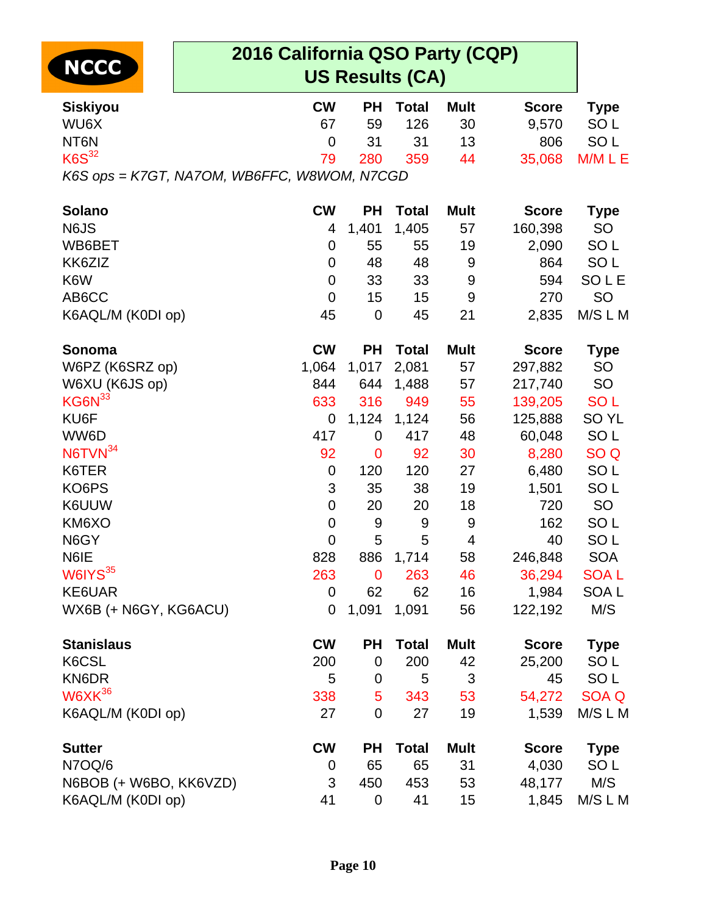| NCCC |
|------|
|------|

| <b>Siskiyou</b>                                           | <b>CW</b>      | PН          | <b>Total</b> | <b>Mult</b> | <b>Score</b> | <b>Type</b>      |
|-----------------------------------------------------------|----------------|-------------|--------------|-------------|--------------|------------------|
| WU6X                                                      | 67             | 59          | 126          | 30          | 9,570        | SO <sub>L</sub>  |
| NT6N                                                      | 0              | 31          | 31           | 13          | 806          | SO <sub>L</sub>  |
| $K6S^{32}$<br>K6S ops = K7GT, NA7OM, WB6FFC, W8WOM, N7CGD | 79             | 280         | 359          | 44          | 35,068       | M/M L E          |
|                                                           |                |             |              |             |              |                  |
| <b>Solano</b>                                             | <b>CW</b>      | PН          | <b>Total</b> | <b>Mult</b> | <b>Score</b> | <b>Type</b>      |
| N6JS                                                      | 4              | 1,401       | 1,405        | 57          | 160,398      | <b>SO</b>        |
| WB6BET                                                    | 0              | 55          | 55           | 19          | 2,090        | SO <sub>L</sub>  |
| KK6ZIZ                                                    | 0              | 48          | 48           | $9\,$       | 864          | SO <sub>L</sub>  |
| K6W                                                       | 0              | 33          | 33           | 9           | 594          | <b>SOLE</b>      |
| AB6CC                                                     | 0              | 15          | 15           | 9           | 270          | <b>SO</b>        |
| K6AQL/M (K0DI op)                                         | 45             | $\mathbf 0$ | 45           | 21          | 2,835        | M/S L M          |
| Sonoma                                                    | <b>CW</b>      | PН          | <b>Total</b> | <b>Mult</b> | <b>Score</b> | <b>Type</b>      |
| W6PZ (K6SRZ op)                                           | 1,064          | 1,017       | 2,081        | 57          | 297,882      | <b>SO</b>        |
| W6XU (K6JS op)                                            | 844            | 644         | 1,488        | 57          | 217,740      | <b>SO</b>        |
| KG6N <sup>33</sup>                                        | 633            | 316         | 949          | 55          | 139,205      | <b>SOL</b>       |
| KU6F                                                      | 0              | 1,124       | 1,124        | 56          | 125,888      | SO <sub>YL</sub> |
| WW6D                                                      | 417            | 0           | 417          | 48          | 60,048       | SO <sub>L</sub>  |
| N6TVN <sup>34</sup>                                       | 92             | 0           | 92           | 30          | 8,280        | SO <sub>Q</sub>  |
| K6TER                                                     | 0              | 120         | 120          | 27          | 6,480        | SO <sub>L</sub>  |
| KO6PS                                                     | 3              | 35          | 38           | 19          | 1,501        | SO <sub>L</sub>  |
| K6UUW                                                     | 0              | 20          | 20           | 18          | 720          | <b>SO</b>        |
| KM6XO                                                     | $\overline{0}$ | 9           | 9            | 9           | 162          | SO <sub>L</sub>  |
| N6GY                                                      | $\overline{0}$ | 5           | 5            | 4           | 40           | SO <sub>L</sub>  |
| N6IE                                                      | 828            | 886         | 1,714        | 58          | 246,848      | <b>SOA</b>       |
| W6IYS <sup>35</sup>                                       | 263            | $\mathbf 0$ | 263          | 46          | 36,294       | <b>SOAL</b>      |
| KE6UAR                                                    | 0              | 62          | 62           | 16          | 1,984        | SOA <sub>L</sub> |
| WX6B (+ N6GY, KG6ACU)                                     | 0              | 1,091       | 1,091        | 56          | 122,192      | M/S              |
| <b>Stanislaus</b>                                         | <b>CW</b>      | РH          | <b>Total</b> | <b>Mult</b> | <b>Score</b> | <b>Type</b>      |
| K6CSL                                                     | 200            | 0           | 200          | 42          | 25,200       | SO <sub>L</sub>  |
| KN6DR                                                     | 5              | $\mathbf 0$ | 5            | 3           | 45           | SO <sub>L</sub>  |
| $W6XK^{36}$                                               | 338            | 5           | 343          | 53          | 54,272       | <b>SOA Q</b>     |
| K6AQL/M (K0DI op)                                         | 27             | $\mathbf 0$ | 27           | 19          | 1,539        | M/S L M          |
| <b>Sutter</b>                                             | <b>CW</b>      | PH          | <b>Total</b> | <b>Mult</b> | <b>Score</b> | <b>Type</b>      |
| N7OQ/6                                                    | 0              | 65          | 65           | 31          | 4,030        | SO <sub>L</sub>  |
| N6BOB (+ W6BO, KK6VZD)                                    | 3              | 450         | 453          | 53          | 48,177       | M/S              |
| K6AQL/M (K0DI op)                                         | 41             | 0           | 41           | 15          | 1,845        | M/S L M          |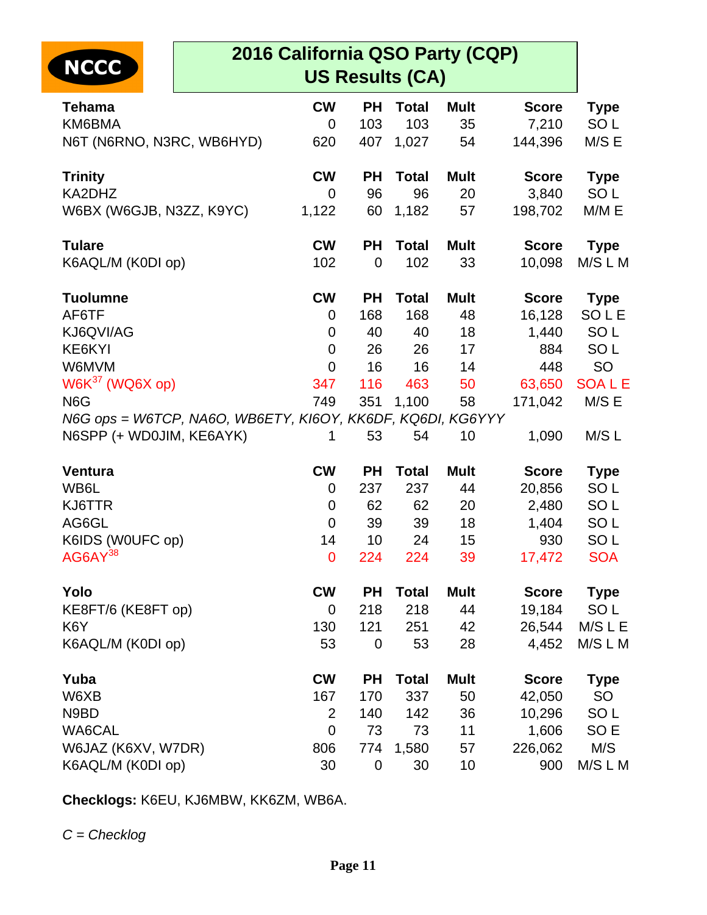| <b>NCCC</b>                                                | 2016 California QSO Party (CQP)<br><b>US Results (CA)</b> |             |              |             |              |                 |  |
|------------------------------------------------------------|-----------------------------------------------------------|-------------|--------------|-------------|--------------|-----------------|--|
| <b>Tehama</b>                                              | <b>CW</b>                                                 | <b>PH</b>   | <b>Total</b> | <b>Mult</b> | <b>Score</b> | <b>Type</b>     |  |
| KM6BMA                                                     | 0                                                         | 103         | 103          | 35          | 7,210        | SO <sub>L</sub> |  |
| N6T (N6RNO, N3RC, WB6HYD)                                  | 620                                                       | 407         | 1,027        | 54          | 144,396      | M/S E           |  |
| <b>Trinity</b>                                             | <b>CW</b>                                                 | <b>PH</b>   | <b>Total</b> | <b>Mult</b> | <b>Score</b> | <b>Type</b>     |  |
| KA2DHZ                                                     | 0                                                         | 96          | 96           | 20          | 3,840        | SO <sub>L</sub> |  |
| W6BX (W6GJB, N3ZZ, K9YC)                                   | 1,122                                                     | 60          | 1,182        | 57          | 198,702      | M/M E           |  |
| <b>Tulare</b>                                              | <b>CW</b>                                                 | <b>PH</b>   | <b>Total</b> | <b>Mult</b> | <b>Score</b> | <b>Type</b>     |  |
| K6AQL/M (K0DI op)                                          | 102                                                       | $\mathbf 0$ | 102          | 33          | 10,098       | M/S L M         |  |
| <b>Tuolumne</b>                                            | <b>CW</b>                                                 | <b>PH</b>   | <b>Total</b> | <b>Mult</b> | <b>Score</b> | <b>Type</b>     |  |
| AF6TF                                                      | $\mathbf 0$                                               | 168         | 168          | 48          | 16,128       | SOLE            |  |
| KJ6QVI/AG                                                  | 0                                                         | 40          | 40           | 18          | 1,440        | SO <sub>L</sub> |  |
| KE6KYI                                                     | 0                                                         | 26          | 26           | 17          | 884          | SO <sub>L</sub> |  |
| W6MVM                                                      | 0                                                         | 16          | 16           | 14          | 448          | <b>SO</b>       |  |
| $W6K37$ (WQ6X op)                                          | 347                                                       | 116         | 463          | 50          | 63,650       | <b>SOALE</b>    |  |
| N <sub>6</sub> G                                           | 749                                                       | 351         | 1,100        | 58          | 171,042      | M/S E           |  |
| N6G ops = W6TCP, NA6O, WB6ETY, KI6OY, KK6DF, KQ6DI, KG6YYY |                                                           |             |              |             |              |                 |  |
| N6SPP (+ WD0JIM, KE6AYK)                                   | 1                                                         | 53          | 54           | 10          | 1,090        | M/S L           |  |
| <b>Ventura</b>                                             | <b>CW</b>                                                 | <b>PH</b>   | <b>Total</b> | <b>Mult</b> | <b>Score</b> | <b>Type</b>     |  |
| WB6L                                                       | 0                                                         | 237         | 237          | 44          | 20,856       | SO <sub>L</sub> |  |
| KJ6TTR                                                     | 0                                                         | 62          | 62           | 20          | 2,480        | SO <sub>L</sub> |  |
| AG6GL                                                      | $\mathbf 0$                                               | 39          | 39           | 18          | 1,404        | SO <sub>L</sub> |  |
| K6IDS (W0UFC op)                                           | 14                                                        | 10          | 24           | 15          | 930          | SO <sub>L</sub> |  |
| AG6AY <sup>38</sup>                                        | $\mathbf 0$                                               | 224         | 224          | 39          | 17,472       | <b>SOA</b>      |  |
| Yolo                                                       | <b>CW</b>                                                 | <b>PH</b>   | <b>Total</b> | <b>Mult</b> | <b>Score</b> | <b>Type</b>     |  |
| KE8FT/6 (KE8FT op)                                         | $\mathbf 0$                                               | 218         | 218          | 44          | 19,184       | SO <sub>L</sub> |  |
| K <sub>6</sub> Y                                           | 130                                                       | 121         | 251          | 42          | 26,544       | $M/S$ L E       |  |
| K6AQL/M (K0DI op)                                          | 53                                                        | $\mathbf 0$ | 53           | 28          | 4,452        | M/S L M         |  |
| Yuba                                                       | <b>CW</b>                                                 | <b>PH</b>   | <b>Total</b> | <b>Mult</b> | <b>Score</b> | <b>Type</b>     |  |
| W6XB                                                       | 167                                                       | 170         | 337          | 50          | 42,050       | SO              |  |
| N9BD                                                       | $\overline{2}$                                            | 140         | 142          | 36          | 10,296       | SO <sub>L</sub> |  |
| WA6CAL                                                     | $\mathbf 0$                                               | 73          | 73           | 11          | 1,606        | SO <sub>E</sub> |  |
| W6JAZ (K6XV, W7DR)                                         | 806                                                       | 774         | 1,580        | 57          | 226,062      | M/S             |  |
| K6AQL/M (K0DI op)                                          | 30                                                        | 0           | 30           | 10          | 900          | M/S L M         |  |

**Checklogs:** K6EU, KJ6MBW, KK6ZM, WB6A.

 $C = Checklog$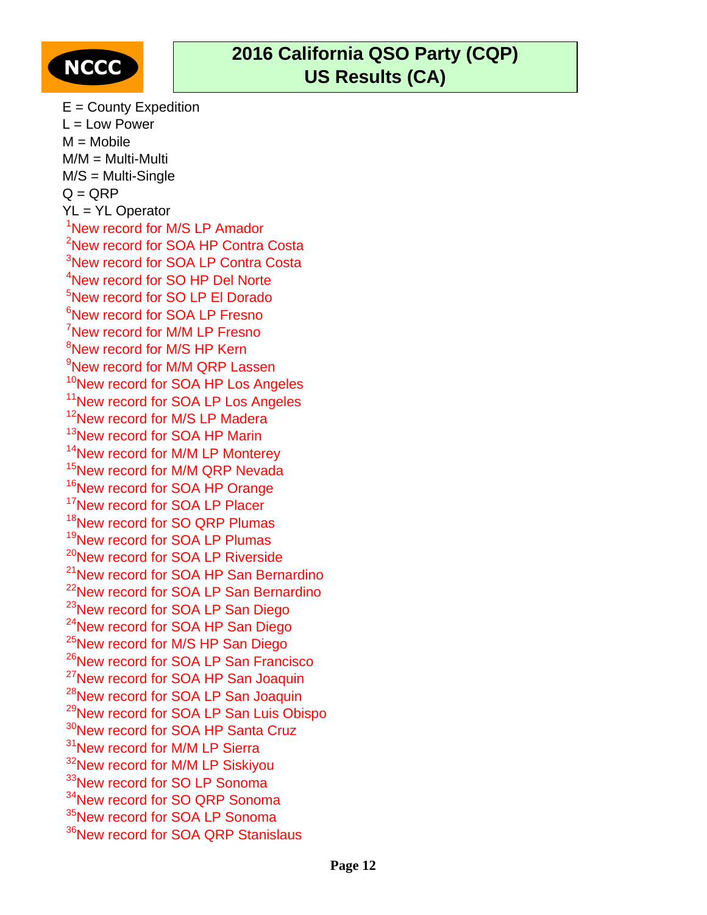

 $E =$  County Expedition  $L = Low Power$  $M = Mobile$ M/M = Multi-Multi M/S = Multi-Single  $Q = QRP$ YL = YL Operator <sup>1</sup>New record for M/S LP Amador <sup>2</sup>New record for SOA HP Contra Costa <sup>3</sup>New record for SOA LP Contra Costa <sup>4</sup>New record for SO HP Del Norte <sup>5</sup>New record for SO LP El Dorado <sup>6</sup>New record for SOA LP Fresno <sup>7</sup>New record for M/M LP Fresno <sup>8</sup>New record for M/S HP Kern <sup>9</sup>New record for M/M QRP Lassen <sup>10</sup>New record for SOA HP Los Angeles <sup>11</sup>New record for SOA LP Los Angeles <sup>12</sup>New record for M/S LP Madera <sup>13</sup>New record for SOA HP Marin <sup>14</sup>New record for M/M LP Monterey <sup>15</sup>New record for M/M QRP Nevada <sup>16</sup>New record for SOA HP Orange <sup>17</sup>New record for SOA LP Placer <sup>18</sup>New record for SO QRP Plumas <sup>19</sup>New record for SOA LP Plumas <sup>20</sup>New record for SOA LP Riverside <sup>21</sup>New record for SOA HP San Bernardino <sup>22</sup>New record for SOA LP San Bernardino <sup>23</sup>New record for SOA LP San Diego <sup>24</sup>New record for SOA HP San Diego <sup>25</sup>New record for M/S HP San Diego <sup>26</sup>New record for SOA LP San Francisco <sup>27</sup>New record for SOA HP San Joaquin <sup>28</sup>New record for SOA LP San Joaquin <sup>29</sup>New record for SOA LP San Luis Obispo <sup>30</sup>New record for SOA HP Santa Cruz <sup>31</sup>New record for M/M LP Sierra <sup>32</sup>New record for M/M LP Siskiyou <sup>33</sup>New record for SO LP Sonoma <sup>34</sup>New record for SO QRP Sonoma <sup>35</sup>New record for SOA LP Sonoma <sup>36</sup>New record for SOA QRP Stanislaus